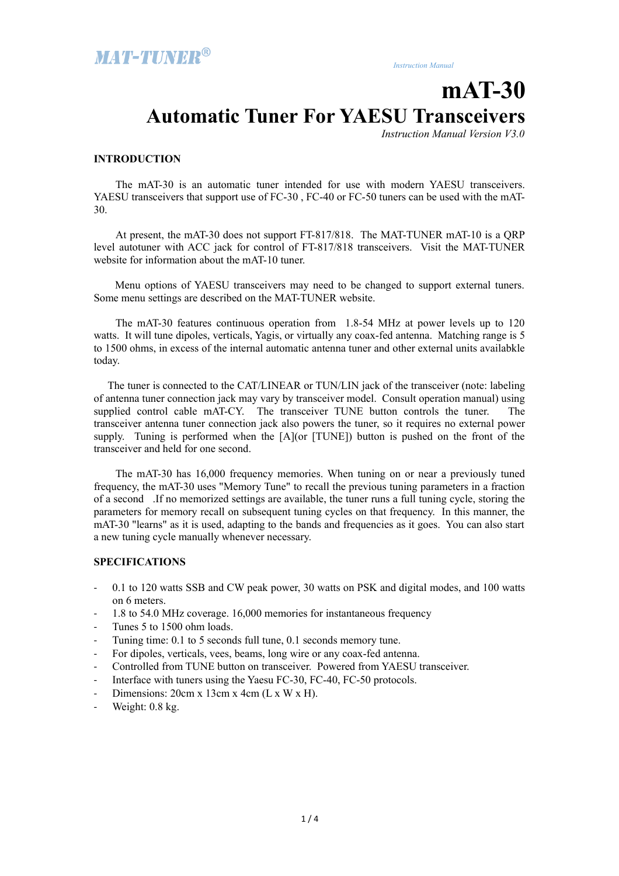# **mAT-30 Automatic Tuner For YAESU Transceivers**

*Instruction Manual Version V3.0*

#### **INTRODUCTION**

The mAT-30 is an automatic tuner intended for use with modern YAESU transceivers. YAESU transceivers that support use of FC-30 , FC-40 or FC-50 tuners can be used with the mAT-30.

At present, the mAT-30 does not support FT-817/818. The MAT-TUNER mAT-10 is a QRP level autotuner with ACC jack for control of FT-817/818 transceivers. Visit the MAT-TUNER website for information about the mAT-10 tuner.

 Menu options of YAESU transceivers may need to be changed to support external tuners. Some menu settings are described on the MAT-TUNER website.

The mAT-30 features continuous operation from 1.8-54 MHz at power levels up to 120 watts. It will tune dipoles, verticals, Yagis, or virtually any coax-fed antenna. Matching range is 5 to 1500 ohms, in excess of the internal automatic antenna tuner and other external units availabkle today.

 The tuner is connected to the CAT/LINEAR or TUN/LIN jack of the transceiver (note: labeling of antenna tuner connection jack may vary by transceiver model. Consult operation manual) using supplied control cable mAT-CY. The transceiver TUNE button controls the tuner. The transceiver antenna tuner connection jack also powers the tuner, so it requires no external power supply. Tuning is performed when the [A](or [TUNE]) button is pushed on the front of the transceiver and held for one second.

The mAT-30 has 16,000 frequency memories. When tuning on or near a previously tuned frequency, the mAT-30 uses "Memory Tune" to recall the previous tuning parameters in a fraction of a second .If no memorized settings are available, the tuner runs a full tuning cycle, storing the parameters for memory recall on subsequent tuning cycles on that frequency. In this manner, the mAT-30 "learns" as it is used, adapting to the bands and frequencies as it goes. You can also start a new tuning cycle manually whenever necessary.

#### **SPECIFICATIONS**

- 0.1 to 120 watts SSB and CW peak power, 30 watts on PSK and digital modes, and 100 watts on 6 meters.
- 1.8 to 54.0 MHz coverage. 16,000 memories for instantaneous frequency
- Tunes 5 to 1500 ohm loads.
- Tuning time: 0.1 to 5 seconds full tune, 0.1 seconds memory tune.
- For dipoles, verticals, vees, beams, long wire or any coax-fed antenna.
- Controlled from TUNE button on transceiver. Powered from YAESU transceiver.
- Interface with tuners using the Yaesu FC-30, FC-40, FC-50 protocols.
- Dimensions:  $20cm \times 13cm \times 4cm$  (L  $\times W \times H$ ).
- Weight: 0.8 kg.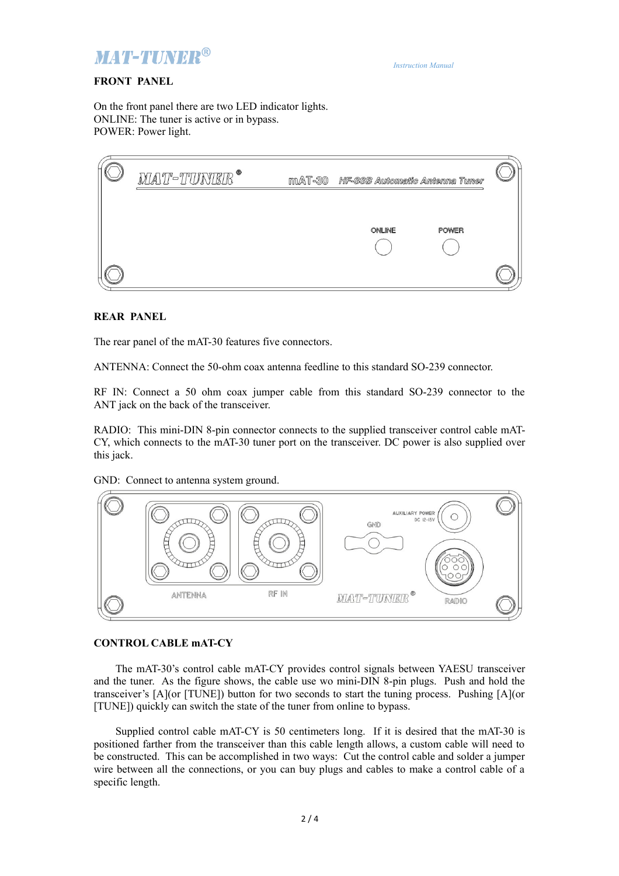

# **FRONT PANEL**

On the front panel there are two LED indicator lights. ONLINE: The tuner is active or in bypass. POWER: Power light.

| MAT-TUNER <sup>®</sup> | $mAT-30$ | HF-SSB Automatic Antenna Tuner |              |  |
|------------------------|----------|--------------------------------|--------------|--|
|                        |          |                                |              |  |
|                        |          | ONLINE                         | <b>POWER</b> |  |
|                        |          |                                |              |  |

#### **REAR PANEL**

The rear panel of the mAT-30 features five connectors.

ANTENNA: Connect the 50-ohm coax antenna feedline to this standard SO-239 connector.

RF IN: Connect a 50 ohm coax jumper cable from this standard SO-239 connector to the ANT jack on the back of the transceiver.

RADIO: This mini-DIN 8-pin connector connects to the supplied transceiver control cable mAT-CY, which connects to the mAT-30 tuner port on the transceiver. DC power is also supplied over this jack.

GND: Connect to antenna system ground.



### **CONTROL CABLE mAT-CY**

The mAT-30's control cable mAT-CY provides control signals between YAESU transceiver and the tuner. As the figure shows, the cable use wo mini-DIN 8-pin plugs. Push and hold the transceiver's [A](or [TUNE]) button for two seconds to start the tuning process. Pushing [A](or [TUNE]) quickly can switch the state of the tuner from online to bypass.

Supplied control cable mAT-CY is 50 centimeters long. If it is desired that the mAT-30 is positioned farther from the transceiver than this cable length allows, a custom cable will need to be constructed. This can be accomplished in two ways: Cut the control cable and solder a jumper wire between all the connections, or you can buy plugs and cables to make a control cable of a specific length.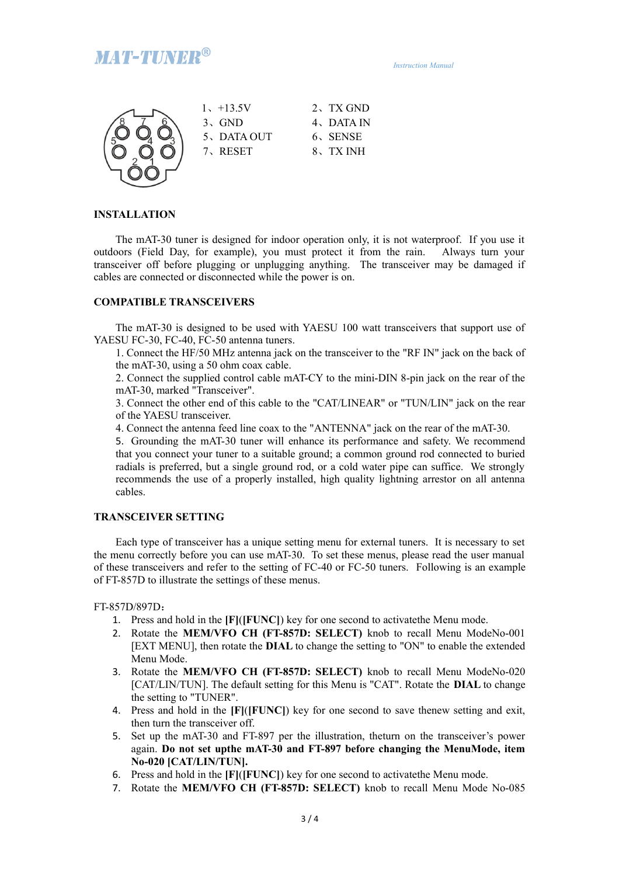

 *Instruction Manual*



| $1, +13.5V$ | 2. TX GND |
|-------------|-----------|
| $3.$ GND    | 4、DATA IN |
| 5、DATA OUT  | 6、SENSE   |
| 7、RESET     | 8. TX INH |
|             |           |

# **INSTALLATION**

The mAT-30 tuner is designed for indoor operation only, it is not waterproof. If you use it outdoors (Field Day, for example), you must protect it from the rain. Always turn your transceiver off before plugging or unplugging anything. The transceiver may be damaged if cables are connected or disconnected while the power is on.

## **COMPATIBLE TRANSCEIVERS**

The mAT-30 is designed to be used with YAESU 100 watt transceivers that support use of YAESU FC-30, FC-40, FC-50 antenna tuners.

1. Connect the HF/50 MHz antenna jack on the transceiver to the "RF IN" jack on the back of the mAT-30, using a 50 ohm coax cable.

2. Connect the supplied control cable mAT-CY to the mini-DIN 8-pin jack on the rear of the mAT-30, marked "Transceiver".

3. Connect the other end of this cable to the "CAT/LINEAR" or "TUN/LIN" jack on the rear of the YAESU transceiver.

4. Connect the antenna feed line coax to the "ANTENNA" jack on the rear of the mAT-30.

5. Grounding the mAT-30 tuner will enhance its performance and safety. We recommend that you connect your tuner to a suitable ground; a common ground rod connected to buried radials is preferred, but a single ground rod, or a cold water pipe can suffice. We strongly recommends the use of a properly installed, high quality lightning arrestor on all antenna cables.

#### **TRANSCEIVER SETTING**

Each type of transceiver has a unique setting menu for external tuners. It is necessary to set the menu correctly before you can use mAT-30. To set these menus, please read the user manual of these transceivers and refer to the setting of FC-40 or FC-50 tuners. Following is an example of FT-857D to illustrate the settings of these menus.

FT-857D/897D:

- 1. Press and hold in the **[F]**(**[FUNC]**) key for one second to activatethe Menu mode.
- 2. Rotate the **MEM/VFO CH (FT-857D: SELECT)** knob to recall Menu ModeNo-001 [EXT MENU], then rotate the **DIAL** to change the setting to "ON" to enable the extended Menu Mode.
- 3. Rotate the **MEM/VFO CH (FT-857D: SELECT)** knob to recall Menu ModeNo-020 [CAT/LIN/TUN]. The default setting for this Menu is "CAT". Rotate the **DIAL** to change the setting to "TUNER".
- 4. Press and hold in the **[F]**(**[FUNC]**) key for one second to save thenew setting and exit, then turn the transceiver off.
- 5. Set up the mAT-30 and FT-897 per the illustration, theturn on the transceiver's power again. **Do not set upthe mAT-30 and FT-897 before changing the MenuMode, item No-020 [CAT/LIN/TUN].**
- 6. Press and hold in the **[F]**(**[FUNC]**) key for one second to activatethe Menu mode.
- 7. Rotate the **MEM/VFO CH (FT-857D: SELECT)** knob to recall Menu Mode No-085